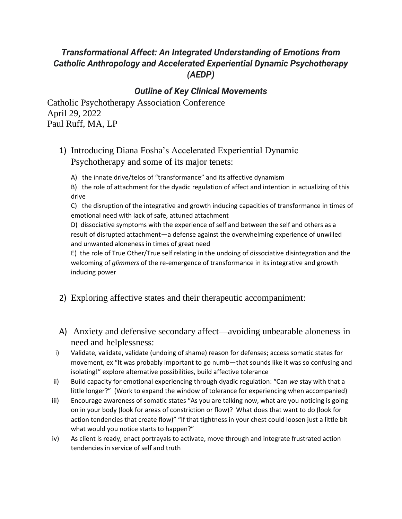## *Transformational Affect: An Integrated Understanding of Emotions from Catholic Anthropology and Accelerated Experiential Dynamic Psychotherapy (AEDP)*

## *Outline of Key Clinical Movements*

Catholic Psychotherapy Association Conference April 29, 2022 Paul Ruff, MA, LP

- 1) Introducing Diana Fosha's Accelerated Experiential Dynamic Psychotherapy and some of its major tenets:
	- A) the innate drive/telos of "transformance" and its affective dynamism

B) the role of attachment for the dyadic regulation of affect and intention in actualizing of this drive

C) the disruption of the integrative and growth inducing capacities of transformance in times of emotional need with lack of safe, attuned attachment

D) dissociative symptoms with the experience of self and between the self and others as a result of disrupted attachment—a defense against the overwhelming experience of unwilled and unwanted aloneness in times of great need

E) the role of True Other/True self relating in the undoing of dissociative disintegration and the welcoming of *glimmers* of the re-emergence of transformance in its integrative and growth inducing power

- 2) Exploring affective states and their therapeutic accompaniment:
- A) Anxiety and defensive secondary affect—avoiding unbearable aloneness in need and helplessness:
- i) Validate, validate, validate (undoing of shame) reason for defenses; access somatic states for movement, ex "It was probably important to go numb—that sounds like it was so confusing and isolating!" explore alternative possibilities, build affective tolerance
- ii) Build capacity for emotional experiencing through dyadic regulation: "Can *we* stay with that a little longer?" (Work to expand the window of tolerance for experiencing when accompanied)
- iii) Encourage awareness of somatic states "As you are talking now, what are you noticing is going on in your body (look for areas of constriction or flow)? What does that want to do (look for action tendencies that create flow)" "If that tightness in your chest could loosen just a little bit what would you notice starts to happen?"
- iv) As client is ready, enact portrayals to activate, move through and integrate frustrated action tendencies in service of self and truth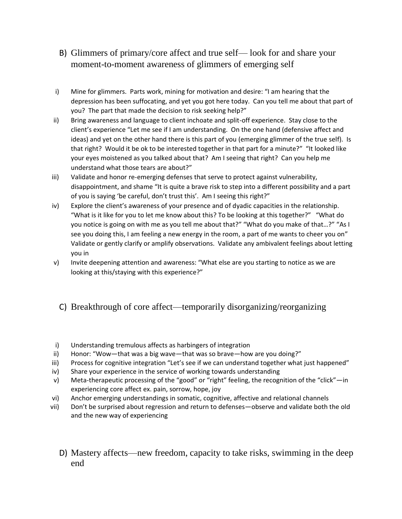- B) Glimmers of primary/core affect and true self— look for and share your moment-to-moment awareness of glimmers of emerging self
- i) Mine for glimmers. Parts work, mining for motivation and desire: "I am hearing that the depression has been suffocating, and yet you got here today. Can you tell me about that part of you? The part that made the decision to risk seeking help?"
- ii) Bring awareness and language to client inchoate and split-off experience. Stay close to the client's experience "Let me see if I am understanding. On the one hand (defensive affect and ideas) and yet on the other hand there is this part of you (emerging glimmer of the true self). Is that right? Would it be ok to be interested together in that part for a minute?" "It looked like your eyes moistened as you talked about that? Am I seeing that right? Can you help me understand what those tears are about?"
- iii) Validate and honor re-emerging defenses that serve to protect against vulnerability, disappointment, and shame "It is quite a brave risk to step into a different possibility and a part of you is saying 'be careful, don't trust this'. Am I seeing this right?"
- iv) Explore the client's awareness of your presence and of dyadic capacities in the relationship. "What is it like for you to let me know about this? To be looking at this together?" "What do you notice is going on with me as you tell me about that?" "What do you make of that…?" "As I see you doing this, I am feeling a new energy in the room, a part of me wants to cheer you on" Validate or gently clarify or amplify observations. Validate any ambivalent feelings about letting you in
- v) Invite deepening attention and awareness: "What else are you starting to notice as we are looking at this/staying with this experience?"

## C) Breakthrough of core affect—temporarily disorganizing/reorganizing

- i) Understanding tremulous affects as harbingers of integration
- ii) Honor: "Wow—that was a big wave—that was so brave—how are you doing?"
- iii) Process for cognitive integration "Let's see if we can understand together what just happened"
- iv) Share your experience in the service of working towards understanding
- v) Meta-therapeutic processing of the "good" or "right" feeling, the recognition of the "click"—in experiencing core affect ex. pain, sorrow, hope, joy
- vi) Anchor emerging understandings in somatic, cognitive, affective and relational channels
- vii) Don't be surprised about regression and return to defenses—observe and validate both the old and the new way of experiencing
	- D) Mastery affects—new freedom, capacity to take risks, swimming in the deep end